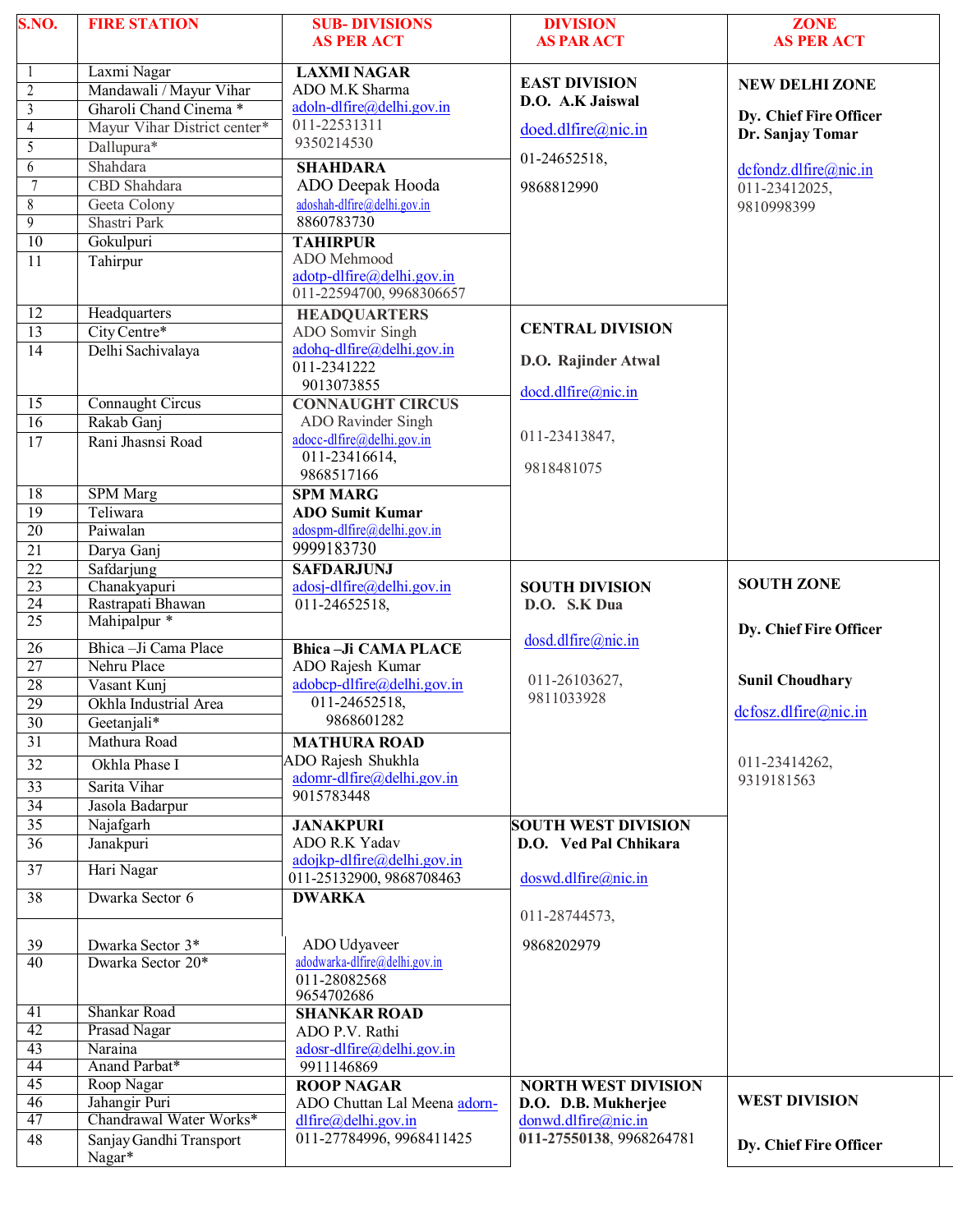| <b>S.NO.</b>    | <b>FIRE STATION</b>                              | <b>SUB-DIVISIONS</b>                        | <b>DIVISION</b>            | <b>ZONE</b>            |
|-----------------|--------------------------------------------------|---------------------------------------------|----------------------------|------------------------|
|                 |                                                  | <b>AS PER ACT</b>                           | <b>AS PAR ACT</b>          | <b>AS PER ACT</b>      |
|                 |                                                  |                                             |                            |                        |
|                 | Laxmi Nagar                                      | <b>LAXMI NAGAR</b>                          | <b>EAST DIVISION</b>       | <b>NEW DELHI ZONE</b>  |
| $\overline{2}$  | Mandawali / Mayur Vihar<br>Gharoli Chand Cinema* | ADO M.K Sharma<br>adoln-dlfire@delhi.gov.in | D.O. A.K Jaiswal           |                        |
| $\overline{3}$  | Mayur Vihar District center*                     | 011-22531311                                |                            | Dy. Chief Fire Officer |
| $\overline{4}$  |                                                  | 9350214530                                  | doed.dlfire@nic.in         | Dr. Sanjay Tomar       |
| 5               | Dallupura*                                       |                                             | 01-24652518,               |                        |
| 6               | Shahdara                                         | <b>SHAHDARA</b>                             |                            | dcfondz.dlfire@nic.in  |
| $\overline{7}$  | CBD Shahdara                                     | ADO Deepak Hooda                            | 9868812990                 | $011 - 23412025$ ,     |
| $\overline{8}$  | Geeta Colony                                     | $adoshah-dlfire@delhi.gov.in$               |                            | 9810998399             |
| $\overline{9}$  | Shastri Park                                     | 8860783730                                  |                            |                        |
| 10              | Gokulpuri                                        | <b>TAHIRPUR</b><br>ADO Mehmood              |                            |                        |
| $\overline{11}$ | Tahirpur                                         | adotp-dlfire@delhi.gov.in                   |                            |                        |
|                 |                                                  | 011-22594700, 9968306657                    |                            |                        |
| $\overline{12}$ | Headquarters                                     | <b>HEADQUARTERS</b>                         |                            |                        |
| 13              | City Centre*                                     | <b>ADO Somvir Singh</b>                     | <b>CENTRAL DIVISION</b>    |                        |
| 14              | Delhi Sachivalaya                                | adohq-dlfire@delhi.gov.in                   |                            |                        |
|                 |                                                  | 011-2341222                                 | D.O. Rajinder Atwal        |                        |
|                 |                                                  | 9013073855                                  |                            |                        |
| 15              | <b>Connaught Circus</b>                          | <b>CONNAUGHT CIRCUS</b>                     | docd.dlfire@nic.in         |                        |
| 16              | Rakab Ganj                                       | ADO Ravinder Singh                          |                            |                        |
| $\overline{17}$ | Rani Jhasnsi Road                                | adocc-dlfire@delhi.gov.in                   | 011-23413847,              |                        |
|                 |                                                  | 011-23416614,                               |                            |                        |
|                 |                                                  | 9868517166                                  | 9818481075                 |                        |
| $\overline{18}$ | <b>SPM</b> Marg                                  | <b>SPM MARG</b>                             |                            |                        |
| 19              | Teliwara                                         | <b>ADO Sumit Kumar</b>                      |                            |                        |
| 20              | Paiwalan                                         | adospm-dlfire@delhi.gov.in                  |                            |                        |
| 21              | Darya Ganj                                       | 9999183730                                  |                            |                        |
| 22              | Safdarjung                                       | <b>SAFDARJUNJ</b>                           |                            |                        |
| 23              | Chanakyapuri                                     | adosj-dlfire@delhi.gov.in                   | <b>SOUTH DIVISION</b>      | <b>SOUTH ZONE</b>      |
| 24              | Rastrapati Bhawan                                | 011-24652518,                               | D.O. S.K Dua               |                        |
| 25              | Mahipalpur *                                     |                                             |                            | Dy. Chief Fire Officer |
| 26              | Bhica - Ji Cama Place                            | <b>Bhica-Ji CAMA PLACE</b>                  | dosd.dlfire@nic.in         |                        |
| 27              | Nehru Place                                      | ADO Rajesh Kumar                            |                            |                        |
| 28              | Vasant Kunj                                      | adobcp-dlfire@delhi.gov.in                  | 011-26103627,              | <b>Sunil Choudhary</b> |
| 29              | Okhla Industrial Area                            | 011-24652518,                               | 9811033928                 |                        |
| 30              | Geetanjali*                                      | 9868601282                                  |                            | dcfosz.dlfire@nic.in   |
| $\overline{31}$ | Mathura Road                                     | <b>MATHURA ROAD</b>                         |                            |                        |
| $\overline{32}$ | Okhla Phase I                                    | ADO Rajesh Shukhla                          |                            | 011-23414262,          |
|                 |                                                  | adomr-dlfire@delhi.gov.in                   |                            | 9319181563             |
| 33              | Sarita Vihar                                     | 9015783448                                  |                            |                        |
| 34              | Jasola Badarpur                                  |                                             |                            |                        |
| 35              | Najafgarh                                        | <b>JANAKPURI</b>                            | <b>SOUTH WEST DIVISION</b> |                        |
| $\overline{36}$ | Janakpuri                                        | ADO R.K Yadav<br>adojkp-dlfire@delhi.gov.in | D.O. Ved Pal Chhikara      |                        |
| 37              | Hari Nagar                                       | 011-25132900, 9868708463                    | doswd.dlfire@nic.in        |                        |
| $\overline{38}$ | Dwarka Sector 6                                  | <b>DWARKA</b>                               |                            |                        |
|                 |                                                  |                                             | 011-28744573,              |                        |
|                 |                                                  |                                             |                            |                        |
| 39              | Dwarka Sector 3*                                 | ADO Udyaveer                                | 9868202979                 |                        |
| 40              | Dwarka Sector 20*                                | adodwarka-dlfire@delhi.gov.in               |                            |                        |
|                 |                                                  | 011-28082568                                |                            |                        |
|                 | Shankar Road                                     | 9654702686                                  |                            |                        |
| 41<br>42        | Prasad Nagar                                     | <b>SHANKAR ROAD</b><br>ADO P.V. Rathi       |                            |                        |
| 43              | Naraina                                          | adosr-dlfire@delhi.gov.in                   |                            |                        |
| 44              | Anand Parbat*                                    | 9911146869                                  |                            |                        |
| 45              | Roop Nagar                                       | <b>ROOP NAGAR</b>                           | <b>NORTH WEST DIVISION</b> |                        |
| 46              | Jahangir Puri                                    | ADO Chuttan Lal Meena adorn-                | D.O. D.B. Mukherjee        | <b>WEST DIVISION</b>   |
| 47              | Chandrawal Water Works*                          | dlfire@delhi.gov.in                         | donwd.dlfire@nic.in        |                        |
| 48              | Sanjay Gandhi Transport                          | 011-27784996, 9968411425                    | 011-27550138, 9968264781   |                        |
|                 | Nagar*                                           |                                             |                            | Dy. Chief Fire Officer |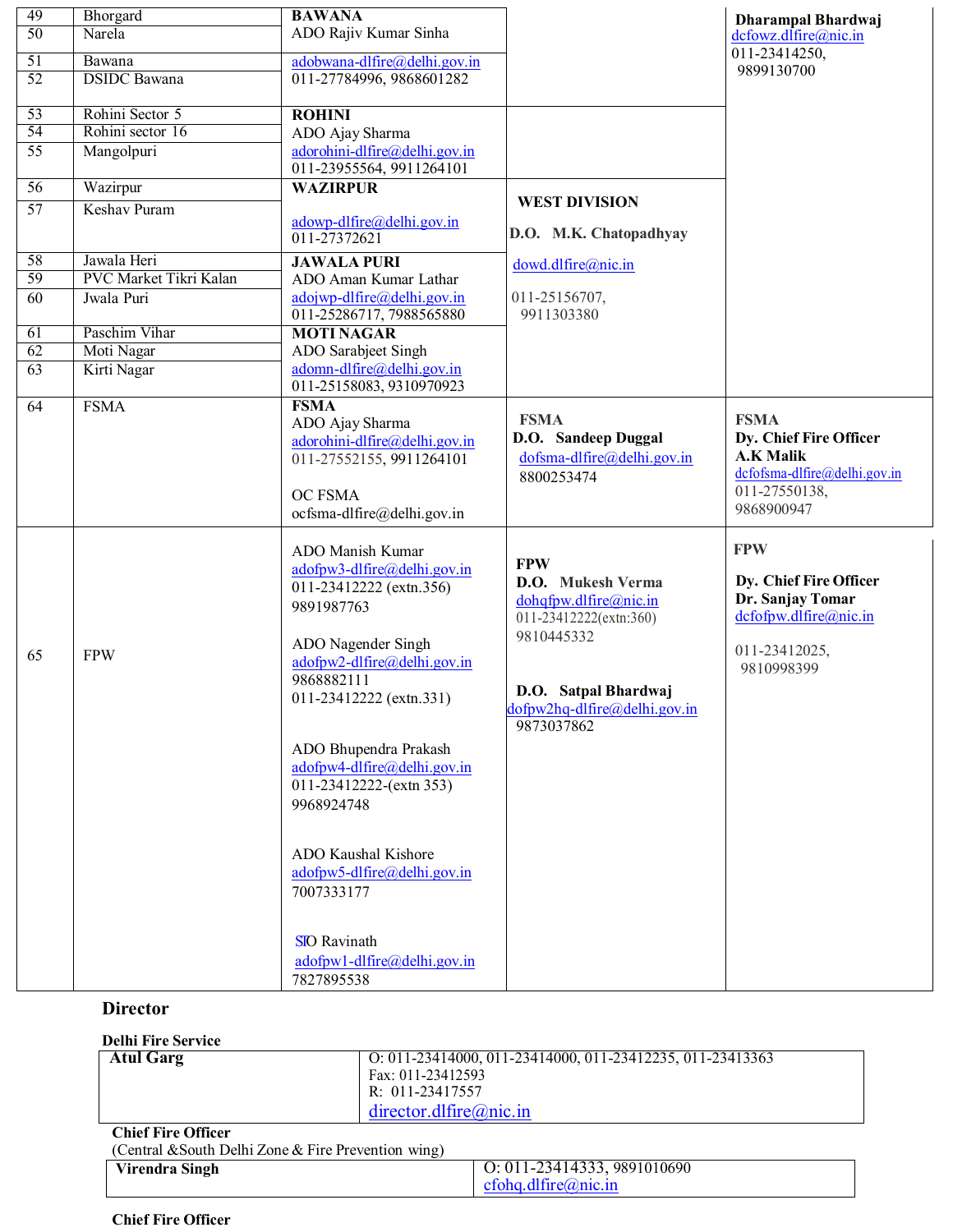| 49<br>50        | Bhorgard<br>Narela     | <b>BAWANA</b><br>ADO Rajiv Kumar Sinha                                                                                                                                                                                                                                                                                                                                             |                                                                                                                                                                           | Dharampal Bhardwaj<br>dcfowz.dlfire@nic.in                                                                               |
|-----------------|------------------------|------------------------------------------------------------------------------------------------------------------------------------------------------------------------------------------------------------------------------------------------------------------------------------------------------------------------------------------------------------------------------------|---------------------------------------------------------------------------------------------------------------------------------------------------------------------------|--------------------------------------------------------------------------------------------------------------------------|
| 51              | Bawana                 | adobwana-dlfire@delhi.gov.in                                                                                                                                                                                                                                                                                                                                                       |                                                                                                                                                                           | 011-23414250,                                                                                                            |
| 52              | <b>DSIDC</b> Bawana    | 011-27784996, 9868601282                                                                                                                                                                                                                                                                                                                                                           |                                                                                                                                                                           | 9899130700                                                                                                               |
| $\overline{53}$ | Rohini Sector 5        | <b>ROHINI</b>                                                                                                                                                                                                                                                                                                                                                                      |                                                                                                                                                                           |                                                                                                                          |
| 54              | Rohini sector 16       | ADO Ajay Sharma                                                                                                                                                                                                                                                                                                                                                                    |                                                                                                                                                                           |                                                                                                                          |
| 55              | Mangolpuri             | adorohini-dlfire@delhi.gov.in<br>011-23955564, 9911264101                                                                                                                                                                                                                                                                                                                          |                                                                                                                                                                           |                                                                                                                          |
| $\overline{56}$ | Wazirpur               | <b>WAZIRPUR</b>                                                                                                                                                                                                                                                                                                                                                                    | <b>WEST DIVISION</b>                                                                                                                                                      |                                                                                                                          |
| 57              | Keshav Puram           | adowp-dlfire@delhi.gov.in<br>011-27372621                                                                                                                                                                                                                                                                                                                                          | D.O. M.K. Chatopadhyay                                                                                                                                                    |                                                                                                                          |
| 58              | Jawala Heri            | <b>JAWALA PURI</b>                                                                                                                                                                                                                                                                                                                                                                 | dowd.dlfire@nic.in                                                                                                                                                        |                                                                                                                          |
| 59              | PVC Market Tikri Kalan | ADO Aman Kumar Lathar                                                                                                                                                                                                                                                                                                                                                              |                                                                                                                                                                           |                                                                                                                          |
| 60              | Jwala Puri             | adojwp-dlfire@delhi.gov.in<br>011-25286717, 7988565880                                                                                                                                                                                                                                                                                                                             | 011-25156707,<br>9911303380                                                                                                                                               |                                                                                                                          |
| 61              | Paschim Vihar          | <b>MOTI NAGAR</b>                                                                                                                                                                                                                                                                                                                                                                  |                                                                                                                                                                           |                                                                                                                          |
| 62              | Moti Nagar             | ADO Sarabjeet Singh                                                                                                                                                                                                                                                                                                                                                                |                                                                                                                                                                           |                                                                                                                          |
| $\overline{63}$ | Kirti Nagar            | adomn-dlfire@delhi.gov.in<br>011-25158083, 9310970923                                                                                                                                                                                                                                                                                                                              |                                                                                                                                                                           |                                                                                                                          |
| $\overline{64}$ | <b>FSMA</b>            | <b>FSMA</b><br>ADO Ajay Sharma<br>adorohini-dlfire@delhi.gov.in<br>011-27552155, 9911264101<br>OC FSMA<br>ocfsma-dlfire@delhi.gov.in                                                                                                                                                                                                                                               | <b>FSMA</b><br>D.O. Sandeep Duggal<br>dofsma-dlfire@delhi.gov.in<br>8800253474                                                                                            | <b>FSMA</b><br>Dy. Chief Fire Officer<br><b>A.K Malik</b><br>dcfofsma-dlfire@delhi.gov.in<br>011-27550138,<br>9868900947 |
| 65              | <b>FPW</b>             | ADO Manish Kumar<br>adofpw3-dlfire@delhi.gov.in<br>011-23412222 (extn.356)<br>9891987763<br>ADO Nagender Singh<br>adofpw2-dlfire@delhi.gov.in<br>9868882111<br>011-23412222 (extn.331)<br>ADO Bhupendra Prakash<br>adofpw4-dlfire@delhi.gov.in<br>011-23412222-(extn 353)<br>9968924748<br>ADO Kaushal Kishore<br>adofpw5-dlfire@delhi.gov.in<br>7007333177<br><b>SIO</b> Ravinath | <b>FPW</b><br>D.O. Mukesh Verma<br>$d$ ohqfpw.dlfire@nic.in<br>011-23412222(extn:360)<br>9810445332<br>D.O. Satpal Bhardwaj<br>dofpw2hq-dlfire@delhi.gov.in<br>9873037862 | <b>FPW</b><br>Dy. Chief Fire Officer<br>Dr. Sanjay Tomar<br>dcfofpw.dlfire@nic.in<br>011-23412025,<br>9810998399         |
|                 |                        | $adofpw1$ -dlfire@delhi.gov.in<br>7827895538                                                                                                                                                                                                                                                                                                                                       |                                                                                                                                                                           |                                                                                                                          |

# **Director**

| <b>Delhi Fire Service</b>                           |                                                           |  |
|-----------------------------------------------------|-----------------------------------------------------------|--|
| <b>Atul Garg</b>                                    | 0: 011-23414000, 011-23414000, 011-23412235, 011-23413363 |  |
|                                                     | Fax: 011-23412593                                         |  |
|                                                     | R: 011-23417557                                           |  |
|                                                     | $director$ .dlfire@nic.in                                 |  |
| <b>Chief Fire Officer</b>                           |                                                           |  |
| (Central & South Delhi Zone & Fire Prevention wing) |                                                           |  |
| Virendra Singh                                      | 0: 011-23414333, 9891010690                               |  |
|                                                     | cfohq.dlfire@nic.in                                       |  |

#### **Chief Fire Officer**